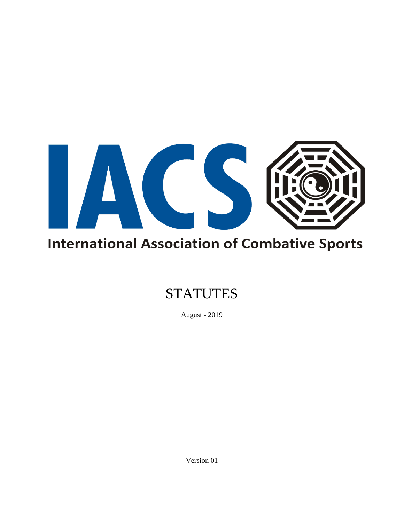

# **International Association of Combative Sports**

## **STATUTES**

August - 2019

Version 01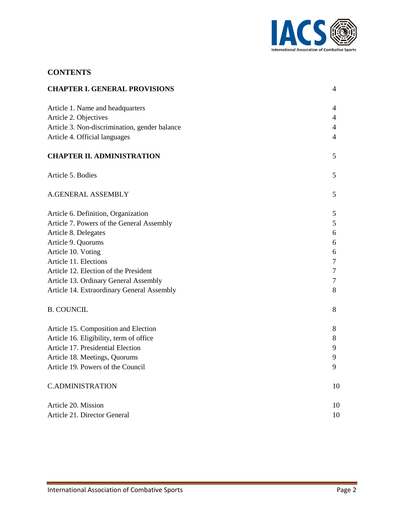

## **CONTENTS**

| <b>CHAPTER I. GENERAL PROVISIONS</b>          | 4              |
|-----------------------------------------------|----------------|
| Article 1. Name and headquarters              | 4              |
| Article 2. Objectives                         | $\overline{4}$ |
| Article 3. Non-discrimination, gender balance | $\overline{4}$ |
| Article 4. Official languages                 | $\overline{4}$ |
| <b>CHAPTER II. ADMINISTRATION</b>             | 5              |
| Article 5. Bodies                             | 5              |
| A.GENERAL ASSEMBLY                            | 5              |
| Article 6. Definition, Organization           | 5              |
| Article 7. Powers of the General Assembly     | 5              |
| Article 8. Delegates                          | 6              |
| Article 9. Quorums                            | 6              |
| Article 10. Voting                            | 6              |
| Article 11. Elections                         | $\overline{7}$ |
| Article 12. Election of the President         | $\tau$         |
| Article 13. Ordinary General Assembly         | $\overline{7}$ |
| Article 14. Extraordinary General Assembly    | 8              |
| <b>B. COUNCIL</b>                             | 8              |
| Article 15. Composition and Election          | 8              |
| Article 16. Eligibility, term of office       | 8              |
| Article 17. Presidential Election             | 9              |
| Article 18. Meetings, Quorums                 | 9              |
| Article 19. Powers of the Council             | 9              |
| <b>C.ADMINISTRATION</b>                       | 10             |
| Article 20. Mission                           | 10             |
| Article 21. Director General                  | 10             |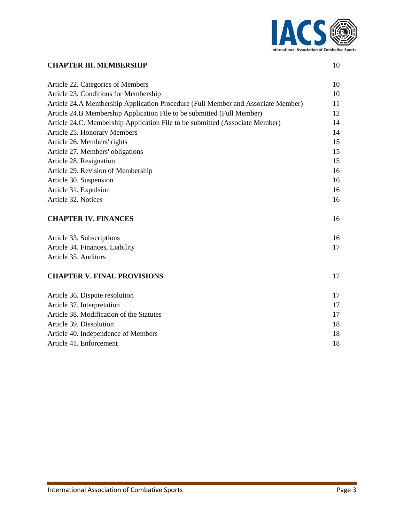

#### **CHAPTER III. MEMBERSHIP** 10

| Article 22. Categories of Members                                                | 10 |
|----------------------------------------------------------------------------------|----|
| Article 23. Conditions for Membership                                            | 10 |
| Article 24.A Membership Application Procedure (Full Member and Associate Member) |    |
| Article 24.B Membership Application File to be submitted (Full Member)           | 12 |
| Article 24.C. Membership Application File to be submitted (Associate Member)     | 14 |
| Article 25. Honorary Members                                                     | 14 |
| Article 26. Members' rights                                                      | 15 |
| Article 27. Members' obligations                                                 | 15 |
| Article 28. Resignation                                                          | 15 |
| Article 29. Revision of Membership                                               | 16 |
| Article 30. Suspension                                                           | 16 |
| Article 31. Expulsion                                                            | 16 |
| Article 32. Notices                                                              | 16 |
|                                                                                  |    |
| <b>CHAPTER IV. FINANCES</b>                                                      | 16 |
|                                                                                  |    |
| Article 33. Subscriptions                                                        | 16 |
| Article 34. Finances, Liability                                                  | 17 |
| Article 35. Auditors                                                             |    |
|                                                                                  |    |
| <b>CHAPTER V. FINAL PROVISIONS</b>                                               | 17 |
| Article 36. Dispute resolution                                                   | 17 |
| Article 37. Interpretation                                                       | 17 |
| Article 38. Modification of the Statutes                                         | 17 |
| Article 39. Dissolution                                                          | 18 |
| Article 40. Independence of Members                                              | 18 |
| Article 41. Enforcement                                                          | 18 |
|                                                                                  |    |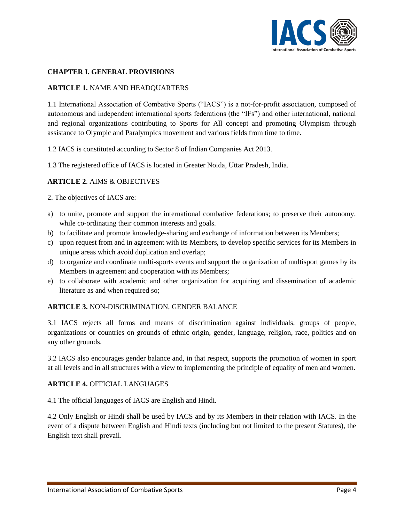

#### **CHAPTER I. GENERAL PROVISIONS**

#### **ARTICLE 1.** NAME AND HEADQUARTERS

1.1 International Association of Combative Sports ("IACS") is a not-for-profit association, composed of autonomous and independent international sports federations (the "IFs") and other international, national and regional organizations contributing to Sports for All concept and promoting Olympism through assistance to Olympic and Paralympics movement and various fields from time to time.

1.2 IACS is constituted according to Sector 8 of Indian Companies Act 2013.

1.3 The registered office of IACS is located in Greater Noida, Uttar Pradesh, India.

## **ARTICLE 2**. AIMS & OBJECTIVES

2. The objectives of IACS are:

- a) to unite, promote and support the international combative federations; to preserve their autonomy, while co-ordinating their common interests and goals.
- b) to facilitate and promote knowledge-sharing and exchange of information between its Members;
- c) upon request from and in agreement with its Members, to develop specific services for its Members in unique areas which avoid duplication and overlap;
- d) to organize and coordinate multi-sports events and support the organization of multisport games by its Members in agreement and cooperation with its Members;
- e) to collaborate with academic and other organization for acquiring and dissemination of academic literature as and when required so;

#### **ARTICLE 3.** NON-DISCRIMINATION, GENDER BALANCE

3.1 IACS rejects all forms and means of discrimination against individuals, groups of people, organizations or countries on grounds of ethnic origin, gender, language, religion, race, politics and on any other grounds.

3.2 IACS also encourages gender balance and, in that respect, supports the promotion of women in sport at all levels and in all structures with a view to implementing the principle of equality of men and women.

#### **ARTICLE 4.** OFFICIAL LANGUAGES

4.1 The official languages of IACS are English and Hindi.

4.2 Only English or Hindi shall be used by IACS and by its Members in their relation with IACS. In the event of a dispute between English and Hindi texts (including but not limited to the present Statutes), the English text shall prevail.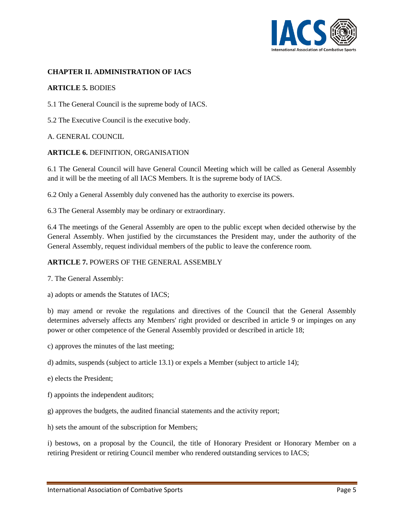

#### **CHAPTER II. ADMINISTRATION OF IACS**

#### **ARTICLE 5.** BODIES

5.1 The General Council is the supreme body of IACS.

5.2 The Executive Council is the executive body.

#### A. GENERAL COUNCIL

#### **ARTICLE 6.** DEFINITION, ORGANISATION

6.1 The General Council will have General Council Meeting which will be called as General Assembly and it will be the meeting of all IACS Members. It is the supreme body of IACS.

6.2 Only a General Assembly duly convened has the authority to exercise its powers.

6.3 The General Assembly may be ordinary or extraordinary.

6.4 The meetings of the General Assembly are open to the public except when decided otherwise by the General Assembly. When justified by the circumstances the President may, under the authority of the General Assembly, request individual members of the public to leave the conference room.

#### **ARTICLE 7.** POWERS OF THE GENERAL ASSEMBLY

7. The General Assembly:

a) adopts or amends the Statutes of IACS;

b) may amend or revoke the regulations and directives of the Council that the General Assembly determines adversely affects any Members' right provided or described in article 9 or impinges on any power or other competence of the General Assembly provided or described in article 18;

c) approves the minutes of the last meeting;

d) admits, suspends (subject to article 13.1) or expels a Member (subject to article 14);

e) elects the President;

- f) appoints the independent auditors;
- g) approves the budgets, the audited financial statements and the activity report;

h) sets the amount of the subscription for Members;

i) bestows, on a proposal by the Council, the title of Honorary President or Honorary Member on a retiring President or retiring Council member who rendered outstanding services to IACS;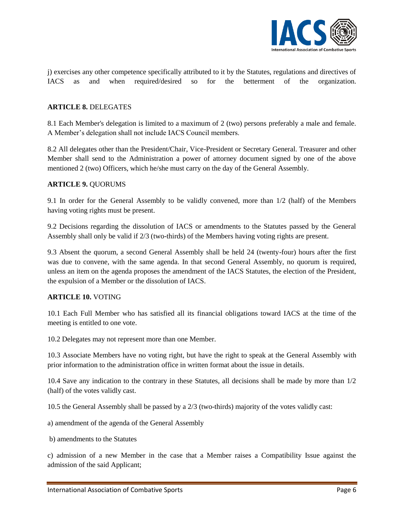

j) exercises any other competence specifically attributed to it by the Statutes, regulations and directives of IACS as and when required/desired so for the betterment of the organization.

#### **ARTICLE 8.** DELEGATES

8.1 Each Member's delegation is limited to a maximum of 2 (two) persons preferably a male and female. A Member's delegation shall not include IACS Council members.

8.2 All delegates other than the President/Chair, Vice-President or Secretary General. Treasurer and other Member shall send to the Administration a power of attorney document signed by one of the above mentioned 2 (two) Officers, which he/she must carry on the day of the General Assembly.

#### **ARTICLE 9.** QUORUMS

9.1 In order for the General Assembly to be validly convened, more than 1/2 (half) of the Members having voting rights must be present.

9.2 Decisions regarding the dissolution of IACS or amendments to the Statutes passed by the General Assembly shall only be valid if 2/3 (two-thirds) of the Members having voting rights are present.

9.3 Absent the quorum, a second General Assembly shall be held 24 (twenty-four) hours after the first was due to convene, with the same agenda. In that second General Assembly, no quorum is required, unless an item on the agenda proposes the amendment of the IACS Statutes, the election of the President, the expulsion of a Member or the dissolution of IACS.

#### **ARTICLE 10.** VOTING

10.1 Each Full Member who has satisfied all its financial obligations toward IACS at the time of the meeting is entitled to one vote.

10.2 Delegates may not represent more than one Member.

10.3 Associate Members have no voting right, but have the right to speak at the General Assembly with prior information to the administration office in written format about the issue in details.

10.4 Save any indication to the contrary in these Statutes, all decisions shall be made by more than 1/2 (half) of the votes validly cast.

10.5 the General Assembly shall be passed by a 2/3 (two-thirds) majority of the votes validly cast:

a) amendment of the agenda of the General Assembly

b) amendments to the Statutes

c) admission of a new Member in the case that a Member raises a Compatibility Issue against the admission of the said Applicant;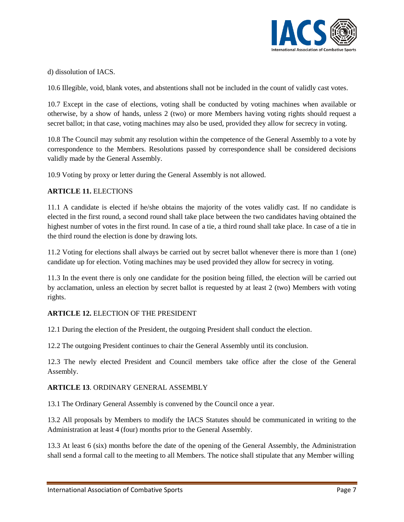

d) dissolution of IACS.

10.6 Illegible, void, blank votes, and abstentions shall not be included in the count of validly cast votes.

10.7 Except in the case of elections, voting shall be conducted by voting machines when available or otherwise, by a show of hands, unless 2 (two) or more Members having voting rights should request a secret ballot; in that case, voting machines may also be used, provided they allow for secrecy in voting.

10.8 The Council may submit any resolution within the competence of the General Assembly to a vote by correspondence to the Members. Resolutions passed by correspondence shall be considered decisions validly made by the General Assembly.

10.9 Voting by proxy or letter during the General Assembly is not allowed.

## **ARTICLE 11.** ELECTIONS

11.1 A candidate is elected if he/she obtains the majority of the votes validly cast. If no candidate is elected in the first round, a second round shall take place between the two candidates having obtained the highest number of votes in the first round. In case of a tie, a third round shall take place. In case of a tie in the third round the election is done by drawing lots.

11.2 Voting for elections shall always be carried out by secret ballot whenever there is more than 1 (one) candidate up for election. Voting machines may be used provided they allow for secrecy in voting.

11.3 In the event there is only one candidate for the position being filled, the election will be carried out by acclamation, unless an election by secret ballot is requested by at least 2 (two) Members with voting rights.

## **ARTICLE 12.** ELECTION OF THE PRESIDENT

12.1 During the election of the President, the outgoing President shall conduct the election.

12.2 The outgoing President continues to chair the General Assembly until its conclusion.

12.3 The newly elected President and Council members take office after the close of the General Assembly.

#### **ARTICLE 13**. ORDINARY GENERAL ASSEMBLY

13.1 The Ordinary General Assembly is convened by the Council once a year.

13.2 All proposals by Members to modify the IACS Statutes should be communicated in writing to the Administration at least 4 (four) months prior to the General Assembly.

13.3 At least 6 (six) months before the date of the opening of the General Assembly, the Administration shall send a formal call to the meeting to all Members. The notice shall stipulate that any Member willing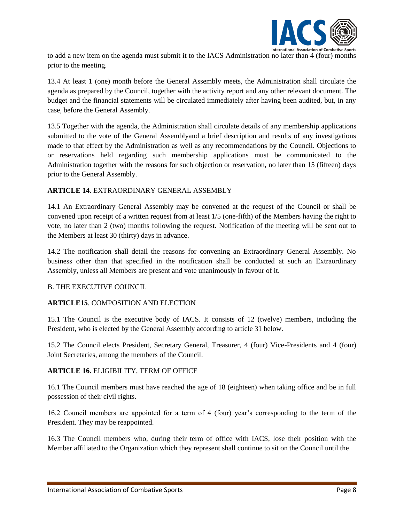

to add a new item on the agenda must submit it to the IACS Administration no later than 4 (four) months prior to the meeting.

13.4 At least 1 (one) month before the General Assembly meets, the Administration shall circulate the agenda as prepared by the Council, together with the activity report and any other relevant document. The budget and the financial statements will be circulated immediately after having been audited, but, in any case, before the General Assembly.

13.5 Together with the agenda, the Administration shall circulate details of any membership applications submitted to the vote of the General Assemblyand a brief description and results of any investigations made to that effect by the Administration as well as any recommendations by the Council. Objections to or reservations held regarding such membership applications must be communicated to the Administration together with the reasons for such objection or reservation, no later than 15 (fifteen) days prior to the General Assembly.

## **ARTICLE 14.** EXTRAORDINARY GENERAL ASSEMBLY

14.1 An Extraordinary General Assembly may be convened at the request of the Council or shall be convened upon receipt of a written request from at least 1/5 (one-fifth) of the Members having the right to vote, no later than 2 (two) months following the request. Notification of the meeting will be sent out to the Members at least 30 (thirty) days in advance.

14.2 The notification shall detail the reasons for convening an Extraordinary General Assembly. No business other than that specified in the notification shall be conducted at such an Extraordinary Assembly, unless all Members are present and vote unanimously in favour of it.

## B. THE EXECUTIVE COUNCIL

## **ARTICLE15**. COMPOSITION AND ELECTION

15.1 The Council is the executive body of IACS. It consists of 12 (twelve) members, including the President, who is elected by the General Assembly according to article 31 below.

15.2 The Council elects President, Secretary General, Treasurer, 4 (four) Vice-Presidents and 4 (four) Joint Secretaries, among the members of the Council.

#### **ARTICLE 16.** ELIGIBILITY, TERM OF OFFICE

16.1 The Council members must have reached the age of 18 (eighteen) when taking office and be in full possession of their civil rights.

16.2 Council members are appointed for a term of 4 (four) year's corresponding to the term of the President. They may be reappointed.

16.3 The Council members who, during their term of office with IACS, lose their position with the Member affiliated to the Organization which they represent shall continue to sit on the Council until the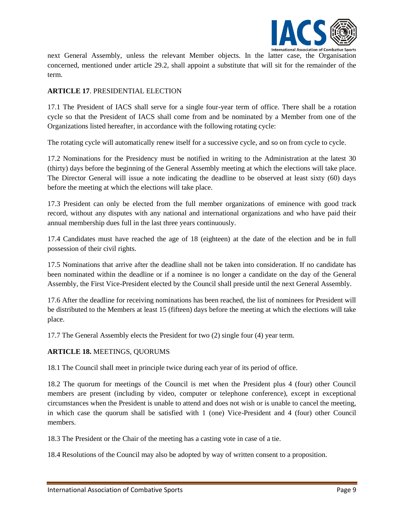

next General Assembly, unless the relevant Member objects. In the latter case, the Organisation concerned, mentioned under article 29.2, shall appoint a substitute that will sit for the remainder of the term.

## **ARTICLE 17**. PRESIDENTIAL ELECTION

17.1 The President of IACS shall serve for a single four-year term of office. There shall be a rotation cycle so that the President of IACS shall come from and be nominated by a Member from one of the Organizations listed hereafter, in accordance with the following rotating cycle:

The rotating cycle will automatically renew itself for a successive cycle, and so on from cycle to cycle.

17.2 Nominations for the Presidency must be notified in writing to the Administration at the latest 30 (thirty) days before the beginning of the General Assembly meeting at which the elections will take place. The Director General will issue a note indicating the deadline to be observed at least sixty (60) days before the meeting at which the elections will take place.

17.3 President can only be elected from the full member organizations of eminence with good track record, without any disputes with any national and international organizations and who have paid their annual membership dues full in the last three years continuously.

17.4 Candidates must have reached the age of 18 (eighteen) at the date of the election and be in full possession of their civil rights.

17.5 Nominations that arrive after the deadline shall not be taken into consideration. If no candidate has been nominated within the deadline or if a nominee is no longer a candidate on the day of the General Assembly, the First Vice-President elected by the Council shall preside until the next General Assembly.

17.6 After the deadline for receiving nominations has been reached, the list of nominees for President will be distributed to the Members at least 15 (fifteen) days before the meeting at which the elections will take place.

17.7 The General Assembly elects the President for two (2) single four (4) year term.

## **ARTICLE 18.** MEETINGS, QUORUMS

18.1 The Council shall meet in principle twice during each year of its period of office.

18.2 The quorum for meetings of the Council is met when the President plus 4 (four) other Council members are present (including by video, computer or telephone conference), except in exceptional circumstances when the President is unable to attend and does not wish or is unable to cancel the meeting, in which case the quorum shall be satisfied with 1 (one) Vice-President and 4 (four) other Council members.

18.3 The President or the Chair of the meeting has a casting vote in case of a tie.

18.4 Resolutions of the Council may also be adopted by way of written consent to a proposition.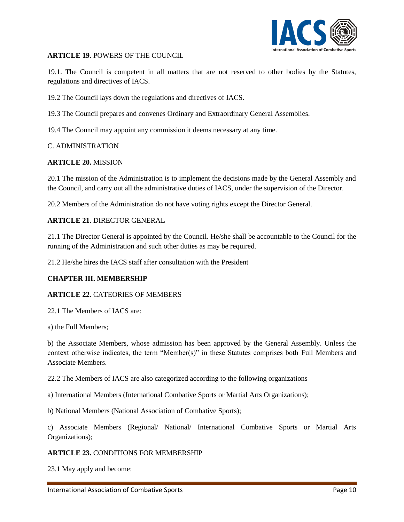

#### **ARTICLE 19.** POWERS OF THE COUNCIL

19.1. The Council is competent in all matters that are not reserved to other bodies by the Statutes, regulations and directives of IACS.

19.2 The Council lays down the regulations and directives of IACS.

19.3 The Council prepares and convenes Ordinary and Extraordinary General Assemblies.

19.4 The Council may appoint any commission it deems necessary at any time.

#### C. ADMINISTRATION

#### **ARTICLE 20.** MISSION

20.1 The mission of the Administration is to implement the decisions made by the General Assembly and the Council, and carry out all the administrative duties of IACS, under the supervision of the Director.

20.2 Members of the Administration do not have voting rights except the Director General.

#### **ARTICLE 21**. DIRECTOR GENERAL

21.1 The Director General is appointed by the Council. He/she shall be accountable to the Council for the running of the Administration and such other duties as may be required.

21.2 He/she hires the IACS staff after consultation with the President

#### **CHAPTER III. MEMBERSHIP**

#### **ARTICLE 22.** CATEORIES OF MEMBERS

22.1 The Members of IACS are:

a) the Full Members;

b) the Associate Members, whose admission has been approved by the General Assembly. Unless the context otherwise indicates, the term "Member(s)" in these Statutes comprises both Full Members and Associate Members.

22.2 The Members of IACS are also categorized according to the following organizations

a) International Members (International Combative Sports or Martial Arts Organizations);

b) National Members (National Association of Combative Sports);

c) Associate Members (Regional/ National/ International Combative Sports or Martial Arts Organizations);

#### **ARTICLE 23.** CONDITIONS FOR MEMBERSHIP

23.1 May apply and become: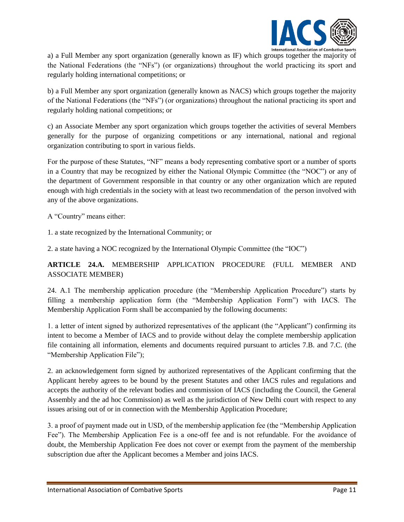

a) a Full Member any sport organization (generally known as IF) which groups together the majority of the National Federations (the "NFs") (or organizations) throughout the world practicing its sport and regularly holding international competitions; or

b) a Full Member any sport organization (generally known as NACS) which groups together the majority of the National Federations (the "NFs") (or organizations) throughout the national practicing its sport and regularly holding national competitions; or

c) an Associate Member any sport organization which groups together the activities of several Members generally for the purpose of organizing competitions or any international, national and regional organization contributing to sport in various fields.

For the purpose of these Statutes, "NF" means a body representing combative sport or a number of sports in a Country that may be recognized by either the National Olympic Committee (the "NOC") or any of the department of Government responsible in that country or any other organization which are reputed enough with high credentials in the society with at least two recommendation of the person involved with any of the above organizations.

A "Country" means either:

1. a state recognized by the International Community; or

2. a state having a NOC recognized by the International Olympic Committee (the "IOC")

## **ARTICLE 24.A.** MEMBERSHIP APPLICATION PROCEDURE (FULL MEMBER AND ASSOCIATE MEMBER)

24. A.1 The membership application procedure (the "Membership Application Procedure") starts by filling a membership application form (the "Membership Application Form") with IACS. The Membership Application Form shall be accompanied by the following documents:

1. a letter of intent signed by authorized representatives of the applicant (the "Applicant") confirming its intent to become a Member of IACS and to provide without delay the complete membership application file containing all information, elements and documents required pursuant to articles 7.B. and 7.C. (the "Membership Application File");

2. an acknowledgement form signed by authorized representatives of the Applicant confirming that the Applicant hereby agrees to be bound by the present Statutes and other IACS rules and regulations and accepts the authority of the relevant bodies and commission of IACS (including the Council, the General Assembly and the ad hoc Commission) as well as the jurisdiction of New Delhi court with respect to any issues arising out of or in connection with the Membership Application Procedure;

3. a proof of payment made out in USD, of the membership application fee (the "Membership Application Fee"). The Membership Application Fee is a one-off fee and is not refundable. For the avoidance of doubt, the Membership Application Fee does not cover or exempt from the payment of the membership subscription due after the Applicant becomes a Member and joins IACS.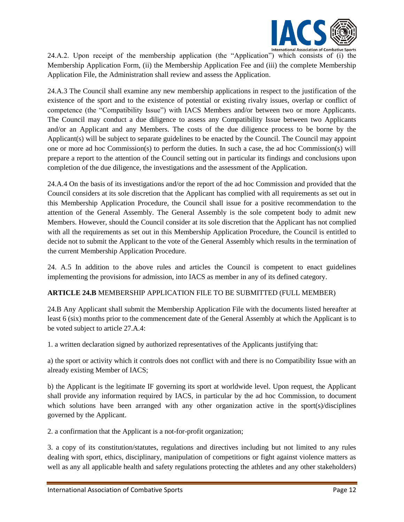

24.A.2. Upon receipt of the membership application (the "Application") which consists of (i) the Membership Application Form, (ii) the Membership Application Fee and (iii) the complete Membership Application File, the Administration shall review and assess the Application.

24.A.3 The Council shall examine any new membership applications in respect to the justification of the existence of the sport and to the existence of potential or existing rivalry issues, overlap or conflict of competence (the "Compatibility Issue") with IACS Members and/or between two or more Applicants. The Council may conduct a due diligence to assess any Compatibility Issue between two Applicants and/or an Applicant and any Members. The costs of the due diligence process to be borne by the Applicant(s) will be subject to separate guidelines to be enacted by the Council. The Council may appoint one or more ad hoc Commission(s) to perform the duties. In such a case, the ad hoc Commission(s) will prepare a report to the attention of the Council setting out in particular its findings and conclusions upon completion of the due diligence, the investigations and the assessment of the Application.

24.A.4 On the basis of its investigations and/or the report of the ad hoc Commission and provided that the Council considers at its sole discretion that the Applicant has complied with all requirements as set out in this Membership Application Procedure, the Council shall issue for a positive recommendation to the attention of the General Assembly. The General Assembly is the sole competent body to admit new Members. However, should the Council consider at its sole discretion that the Applicant has not complied with all the requirements as set out in this Membership Application Procedure, the Council is entitled to decide not to submit the Applicant to the vote of the General Assembly which results in the termination of the current Membership Application Procedure.

24. A.5 In addition to the above rules and articles the Council is competent to enact guidelines implementing the provisions for admission, into IACS as member in any of its defined category.

## **ARTICLE 24.B** MEMBERSHIP APPLICATION FILE TO BE SUBMITTED (FULL MEMBER)

24.B Any Applicant shall submit the Membership Application File with the documents listed hereafter at least 6 (six) months prior to the commencement date of the General Assembly at which the Applicant is to be voted subject to article 27.A.4:

1. a written declaration signed by authorized representatives of the Applicants justifying that:

a) the sport or activity which it controls does not conflict with and there is no Compatibility Issue with an already existing Member of IACS;

b) the Applicant is the legitimate IF governing its sport at worldwide level. Upon request, the Applicant shall provide any information required by IACS, in particular by the ad hoc Commission, to document which solutions have been arranged with any other organization active in the sport(s)/disciplines governed by the Applicant.

2. a confirmation that the Applicant is a not-for-profit organization;

3. a copy of its constitution/statutes, regulations and directives including but not limited to any rules dealing with sport, ethics, disciplinary, manipulation of competitions or fight against violence matters as well as any all applicable health and safety regulations protecting the athletes and any other stakeholders)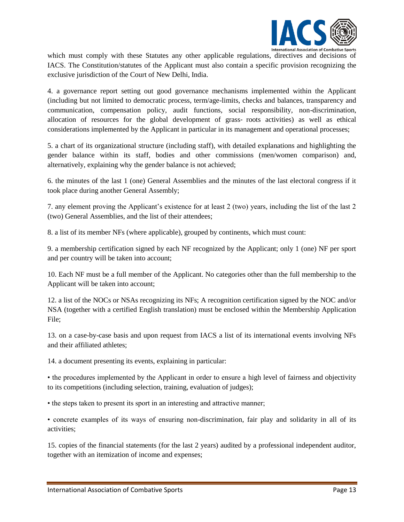

which must comply with these Statutes any other applicable regulations, directives and decisions of IACS. The Constitution/statutes of the Applicant must also contain a specific provision recognizing the exclusive jurisdiction of the Court of New Delhi, India.

4. a governance report setting out good governance mechanisms implemented within the Applicant (including but not limited to democratic process, term/age-limits, checks and balances, transparency and communication, compensation policy, audit functions, social responsibility, non-discrimination, allocation of resources for the global development of grass‐ roots activities) as well as ethical considerations implemented by the Applicant in particular in its management and operational processes;

5. a chart of its organizational structure (including staff), with detailed explanations and highlighting the gender balance within its staff, bodies and other commissions (men/women comparison) and, alternatively, explaining why the gender balance is not achieved;

6. the minutes of the last 1 (one) General Assemblies and the minutes of the last electoral congress if it took place during another General Assembly;

7. any element proving the Applicant's existence for at least 2 (two) years, including the list of the last 2 (two) General Assemblies, and the list of their attendees;

8. a list of its member NFs (where applicable), grouped by continents, which must count:

9. a membership certification signed by each NF recognized by the Applicant; only 1 (one) NF per sport and per country will be taken into account;

10. Each NF must be a full member of the Applicant. No categories other than the full membership to the Applicant will be taken into account;

12. a list of the NOCs or NSAs recognizing its NFs; A recognition certification signed by the NOC and/or NSA (together with a certified English translation) must be enclosed within the Membership Application File;

13. on a case-by-case basis and upon request from IACS a list of its international events involving NFs and their affiliated athletes;

14. a document presenting its events, explaining in particular:

• the procedures implemented by the Applicant in order to ensure a high level of fairness and objectivity to its competitions (including selection, training, evaluation of judges);

• the steps taken to present its sport in an interesting and attractive manner;

• concrete examples of its ways of ensuring non-discrimination, fair play and solidarity in all of its activities;

15. copies of the financial statements (for the last 2 years) audited by a professional independent auditor, together with an itemization of income and expenses;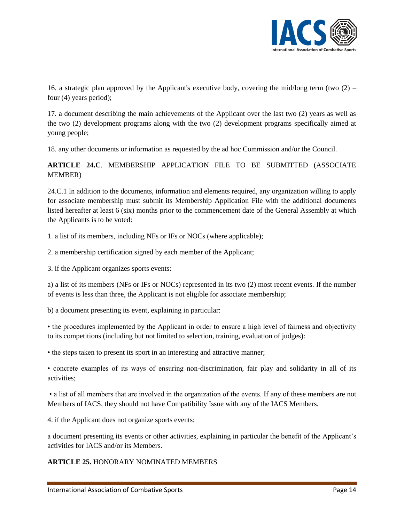

16. a strategic plan approved by the Applicant's executive body, covering the mid/long term (two (2) – four (4) years period);

17. a document describing the main achievements of the Applicant over the last two (2) years as well as the two (2) development programs along with the two (2) development programs specifically aimed at young people;

18. any other documents or information as requested by the ad hoc Commission and/or the Council.

## **ARTICLE 24.C**. MEMBERSHIP APPLICATION FILE TO BE SUBMITTED (ASSOCIATE MEMBER)

24.C.1 In addition to the documents, information and elements required, any organization willing to apply for associate membership must submit its Membership Application File with the additional documents listed hereafter at least 6 (six) months prior to the commencement date of the General Assembly at which the Applicants is to be voted:

1. a list of its members, including NFs or IFs or NOCs (where applicable);

2. a membership certification signed by each member of the Applicant;

3. if the Applicant organizes sports events:

a) a list of its members (NFs or IFs or NOCs) represented in its two (2) most recent events. If the number of events is less than three, the Applicant is not eligible for associate membership;

b) a document presenting its event, explaining in particular:

• the procedures implemented by the Applicant in order to ensure a high level of fairness and objectivity to its competitions (including but not limited to selection, training, evaluation of judges):

• the steps taken to present its sport in an interesting and attractive manner;

• concrete examples of its ways of ensuring non-discrimination, fair play and solidarity in all of its activities;

• a list of all members that are involved in the organization of the events. If any of these members are not Members of IACS, they should not have Compatibility Issue with any of the IACS Members.

4. if the Applicant does not organize sports events:

a document presenting its events or other activities, explaining in particular the benefit of the Applicant's activities for IACS and/or its Members.

## **ARTICLE 25.** HONORARY NOMINATED MEMBERS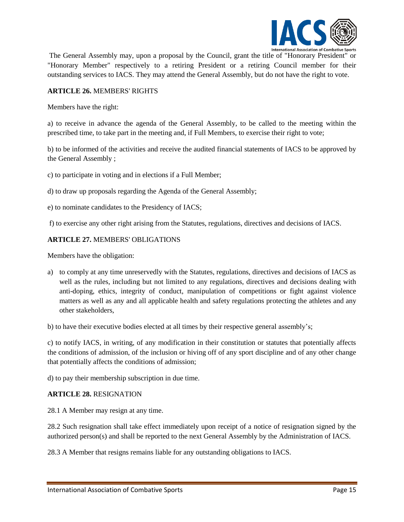

The General Assembly may, upon a proposal by the Council, grant the title of "Honorary President" or "Honorary Member" respectively to a retiring President or a retiring Council member for their outstanding services to IACS. They may attend the General Assembly, but do not have the right to vote.

## **ARTICLE 26.** MEMBERS' RIGHTS

Members have the right:

a) to receive in advance the agenda of the General Assembly, to be called to the meeting within the prescribed time, to take part in the meeting and, if Full Members, to exercise their right to vote;

b) to be informed of the activities and receive the audited financial statements of IACS to be approved by the General Assembly ;

c) to participate in voting and in elections if a Full Member;

d) to draw up proposals regarding the Agenda of the General Assembly;

e) to nominate candidates to the Presidency of IACS;

f) to exercise any other right arising from the Statutes, regulations, directives and decisions of IACS.

#### **ARTICLE 27.** MEMBERS' OBLIGATIONS

Members have the obligation:

a) to comply at any time unreservedly with the Statutes, regulations, directives and decisions of IACS as well as the rules, including but not limited to any regulations, directives and decisions dealing with anti-doping, ethics, integrity of conduct, manipulation of competitions or fight against violence matters as well as any and all applicable health and safety regulations protecting the athletes and any other stakeholders,

b) to have their executive bodies elected at all times by their respective general assembly's;

c) to notify IACS, in writing, of any modification in their constitution or statutes that potentially affects the conditions of admission, of the inclusion or hiving off of any sport discipline and of any other change that potentially affects the conditions of admission;

d) to pay their membership subscription in due time.

#### **ARTICLE 28.** RESIGNATION

28.1 A Member may resign at any time.

28.2 Such resignation shall take effect immediately upon receipt of a notice of resignation signed by the authorized person(s) and shall be reported to the next General Assembly by the Administration of IACS.

28.3 A Member that resigns remains liable for any outstanding obligations to IACS.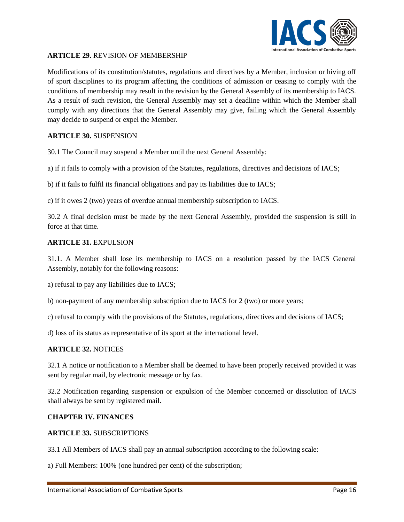

#### **ARTICLE 29.** REVISION OF MEMBERSHIP

Modifications of its constitution/statutes, regulations and directives by a Member, inclusion or hiving off of sport disciplines to its program affecting the conditions of admission or ceasing to comply with the conditions of membership may result in the revision by the General Assembly of its membership to IACS. As a result of such revision, the General Assembly may set a deadline within which the Member shall comply with any directions that the General Assembly may give, failing which the General Assembly may decide to suspend or expel the Member.

#### **ARTICLE 30.** SUSPENSION

30.1 The Council may suspend a Member until the next General Assembly:

a) if it fails to comply with a provision of the Statutes, regulations, directives and decisions of IACS;

b) if it fails to fulfil its financial obligations and pay its liabilities due to IACS;

c) if it owes 2 (two) years of overdue annual membership subscription to IACS.

30.2 A final decision must be made by the next General Assembly, provided the suspension is still in force at that time.

#### **ARTICLE 31.** EXPULSION

31.1. A Member shall lose its membership to IACS on a resolution passed by the IACS General Assembly, notably for the following reasons:

a) refusal to pay any liabilities due to IACS;

b) non-payment of any membership subscription due to IACS for 2 (two) or more years;

c) refusal to comply with the provisions of the Statutes, regulations, directives and decisions of IACS;

d) loss of its status as representative of its sport at the international level.

#### **ARTICLE 32.** NOTICES

32.1 A notice or notification to a Member shall be deemed to have been properly received provided it was sent by regular mail, by electronic message or by fax.

32.2 Notification regarding suspension or expulsion of the Member concerned or dissolution of IACS shall always be sent by registered mail.

## **CHAPTER IV. FINANCES**

#### **ARTICLE 33.** SUBSCRIPTIONS

33.1 All Members of IACS shall pay an annual subscription according to the following scale:

a) Full Members: 100% (one hundred per cent) of the subscription;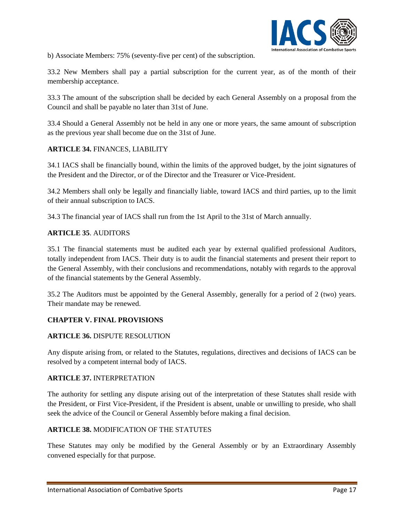

b) Associate Members: 75% (seventy-five per cent) of the subscription.

33.2 New Members shall pay a partial subscription for the current year, as of the month of their membership acceptance.

33.3 The amount of the subscription shall be decided by each General Assembly on a proposal from the Council and shall be payable no later than 31st of June.

33.4 Should a General Assembly not be held in any one or more years, the same amount of subscription as the previous year shall become due on the 31st of June.

## **ARTICLE 34.** FINANCES, LIABILITY

34.1 IACS shall be financially bound, within the limits of the approved budget, by the joint signatures of the President and the Director, or of the Director and the Treasurer or Vice-President.

34.2 Members shall only be legally and financially liable, toward IACS and third parties, up to the limit of their annual subscription to IACS.

34.3 The financial year of IACS shall run from the 1st April to the 31st of March annually.

#### **ARTICLE 35**. AUDITORS

35.1 The financial statements must be audited each year by external qualified professional Auditors, totally independent from IACS. Their duty is to audit the financial statements and present their report to the General Assembly, with their conclusions and recommendations, notably with regards to the approval of the financial statements by the General Assembly.

35.2 The Auditors must be appointed by the General Assembly, generally for a period of 2 (two) years. Their mandate may be renewed.

## **CHAPTER V. FINAL PROVISIONS**

#### **ARTICLE 36.** DISPUTE RESOLUTION

Any dispute arising from, or related to the Statutes, regulations, directives and decisions of IACS can be resolved by a competent internal body of IACS.

#### **ARTICLE 37.** INTERPRETATION

The authority for settling any dispute arising out of the interpretation of these Statutes shall reside with the President, or First Vice-President, if the President is absent, unable or unwilling to preside, who shall seek the advice of the Council or General Assembly before making a final decision.

## **ARTICLE 38.** MODIFICATION OF THE STATUTES

These Statutes may only be modified by the General Assembly or by an Extraordinary Assembly convened especially for that purpose.